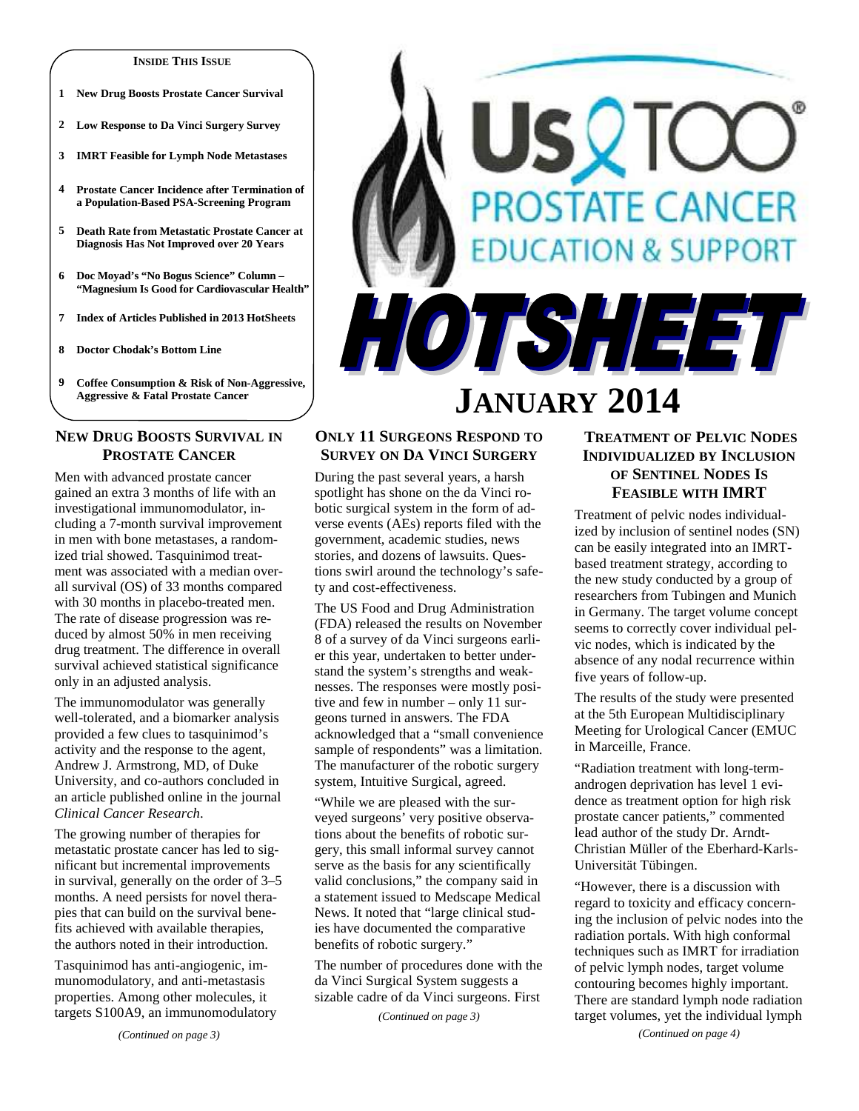#### **INSIDE THIS ISSUE**

- **1 New Drug Boosts Prostate Cancer Survival**
- **2 Low Response to Da Vinci Surgery Survey**
- **3 IMRT Feasible for Lymph Node Metastases**
- **4 Prostate Cancer Incidence after Termination of a Population-Based PSA-Screening Program**
- **5 Death Rate from Metastatic Prostate Cancer at Diagnosis Has Not Improved over 20 Years**
- **6 Doc Moyad's "No Bogus Science" Column "Magnesium Is Good for Cardiovascular Health"**
- **7 Index of Articles Published in 2013 HotSheets**
- **8 Doctor Chodak's Bottom Line**
- **9 Coffee Consumption & Risk of Non-Aggressive, Aggressive & Fatal Prostate Cancer**

# **NEW DRUG BOOSTS SURVIVAL IN PROSTATE CANCER**

Men with advanced prostate cancer gained an extra 3 months of life with an investigational immunomodulator, including a 7-month survival improvement in men with bone metastases, a randomized trial showed. Tasquinimod treatment was associated with a median overall survival (OS) of 33 months compared with 30 months in placebo-treated men. The rate of disease progression was reduced by almost 50% in men receiving drug treatment. The difference in overall survival achieved statistical significance only in an adjusted analysis.

The immunomodulator was generally well-tolerated, and a biomarker analysis provided a few clues to tasquinimod's activity and the response to the agent, Andrew J. Armstrong, MD, of Duke University, and co-authors concluded in an article published online in the journal *Clinical Cancer Research*.

The growing number of therapies for metastatic prostate cancer has led to significant but incremental improvements in survival, generally on the order of 3–5 months. A need persists for novel therapies that can build on the survival benefits achieved with available therapies, the authors noted in their introduction.

Tasquinimod has anti-angiogenic, immunomodulatory, and anti-metastasis properties. Among other molecules, it targets S100A9, an immunomodulatory



## **ONLY 11 SURGEONS RESPOND TO SURVEY ON DA VINCI SURGERY**

During the past several years, a harsh spotlight has shone on the da Vinci robotic surgical system in the form of adverse events (AEs) reports filed with the government, academic studies, news stories, and dozens of lawsuits. Questions swirl around the technology's safety and cost-effectiveness.

The US Food and Drug Administration (FDA) released the results on November 8 of a survey of da Vinci surgeons earlier this year, undertaken to better understand the system's strengths and weaknesses. The responses were mostly positive and few in number – only 11 surgeons turned in answers. The FDA acknowledged that a "small convenience sample of respondents" was a limitation. The manufacturer of the robotic surgery system, Intuitive Surgical, agreed.

"While we are pleased with the surveyed surgeons' very positive observations about the benefits of robotic surgery, this small informal survey cannot serve as the basis for any scientifically valid conclusions," the company said in a statement issued to Medscape Medical News. It noted that "large clinical studies have documented the comparative benefits of robotic surgery."

The number of procedures done with the da Vinci Surgical System suggests a sizable cadre of da Vinci surgeons. First

*(Continued on page 3)* 

# **TREATMENT OF PELVIC NODES INDIVIDUALIZED BY INCLUSION OF SENTINEL NODES IS FEASIBLE WITH IMRT**

Treatment of pelvic nodes individualized by inclusion of sentinel nodes (SN) can be easily integrated into an IMRTbased treatment strategy, according to the new study conducted by a group of researchers from Tubingen and Munich in Germany. The target volume concept seems to correctly cover individual pelvic nodes, which is indicated by the absence of any nodal recurrence within five years of follow-up.

The results of the study were presented at the 5th European Multidisciplinary Meeting for Urological Cancer (EMUC in Marceille, France.

"Radiation treatment with long-termandrogen deprivation has level 1 evidence as treatment option for high risk prostate cancer patients," commented lead author of the study Dr. Arndt-Christian Müller of the Eberhard-Karls-Universität Tübingen.

"However, there is a discussion with regard to toxicity and efficacy concerning the inclusion of pelvic nodes into the radiation portals. With high conformal techniques such as IMRT for irradiation of pelvic lymph nodes, target volume contouring becomes highly important. There are standard lymph node radiation target volumes, yet the individual lymph *(Continued on page 4)*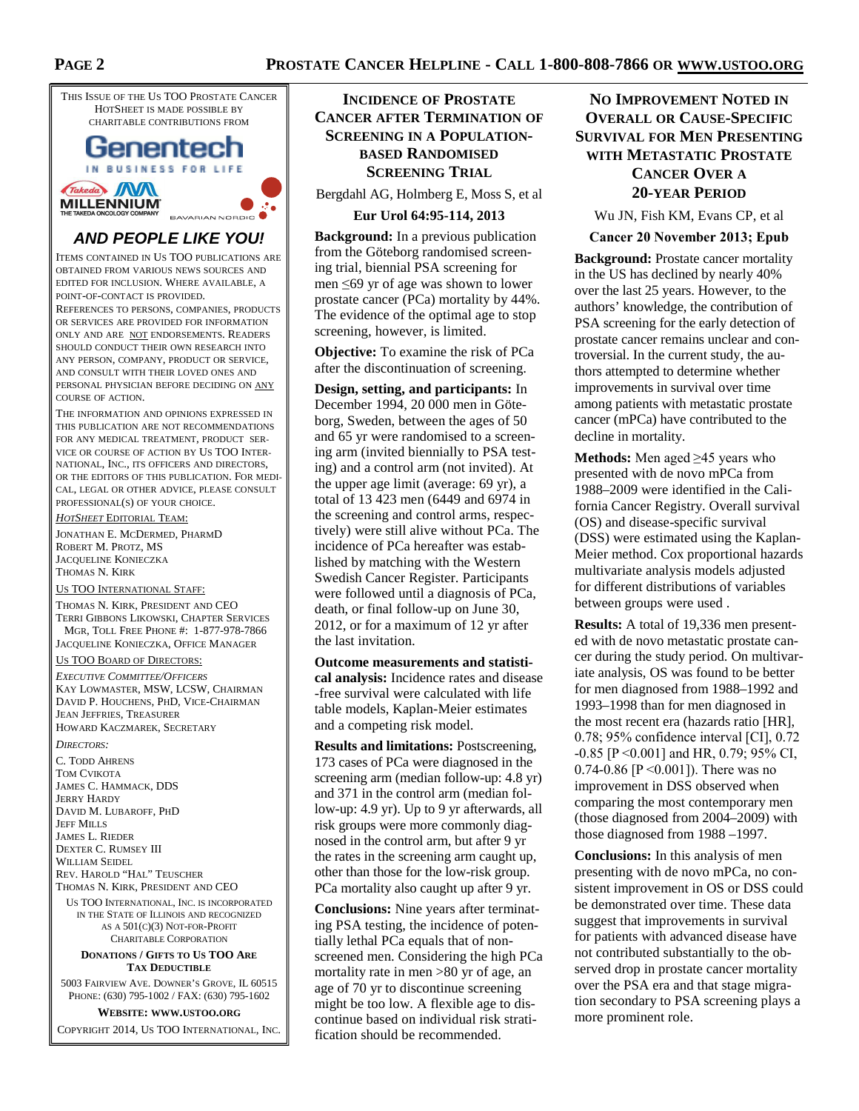THIS ISSUE OF THE US TOO PROSTATE CANCER HOTSHEET IS MADE POSSIBLE BY CHARITABLE CONTRIBUTIONS FROM Genentech

## IN BUSINESS FOR LIFE Takeda WM **MILLENNIUM** BAVARIAN NORDIC

# **AND PEOPLE LIKE YOU!**

ITEMS CONTAINED IN US TOO PUBLICATIONS ARE OBTAINED FROM VARIOUS NEWS SOURCES AND EDITED FOR INCLUSION. WHERE AVAILABLE, A POINT-OF-CONTACT IS PROVIDED.

REFERENCES TO PERSONS, COMPANIES, PRODUCTS OR SERVICES ARE PROVIDED FOR INFORMATION ONLY AND ARE NOT ENDORSEMENTS. READERS SHOULD CONDUCT THEIR OWN RESEARCH INTO ANY PERSON, COMPANY, PRODUCT OR SERVICE, AND CONSULT WITH THEIR LOVED ONES AND PERSONAL PHYSICIAN BEFORE DECIDING ON ANY COURSE OF ACTION.

THE INFORMATION AND OPINIONS EXPRESSED IN THIS PUBLICATION ARE NOT RECOMMENDATIONS FOR ANY MEDICAL TREATMENT, PRODUCT SER-VICE OR COURSE OF ACTION BY US TOO INTER-NATIONAL, INC., ITS OFFICERS AND DIRECTORS, OR THE EDITORS OF THIS PUBLICATION. FOR MEDI-CAL, LEGAL OR OTHER ADVICE, PLEASE CONSULT PROFESSIONAL(S) OF YOUR CHOICE.

*HOTSHEET* EDITORIAL TEAM:

JONATHAN E. MCDERMED, PHARMD ROBERT M. PROTZ, MS JACQUELINE KONIECZKA THOMAS N. KIRK

#### US TOO INTERNATIONAL STAFF:

THOMAS N. KIRK, PRESIDENT AND CEO TERRI GIBBONS LIKOWSKI, CHAPTER SERVICES MGR, TOLL FREE PHONE #: 1-877-978-7866 JACQUELINE KONIECZKA, OFFICE MANAGER

#### US TOO BOARD OF DIRECTORS:

*EXECUTIVE COMMITTEE/OFFICERS* KAY LOWMASTER, MSW, LCSW, CHAIRMAN DAVID P. HOUCHENS, PHD, VICE-CHAIRMAN JEAN JEFFRIES, TREASURER HOWARD KACZMAREK, SECRETARY

#### *DIRECTORS:*

C. TODD AHRENS TOM CVIKOTA JAMES C. HAMMACK, DDS JERRY HARDY DAVID M. LUBAROFF, PHD **JEFF MILLS** JAMES L. RIEDER DEXTER C. RUMSEY III WILLIAM SEIDEL REV. HAROLD "HAL" TEUSCHER THOMAS N. KIRK, PRESIDENT AND CEO

US TOO INTERNATIONAL, INC. IS INCORPORATED IN THE STATE OF ILLINOIS AND RECOGNIZED AS A 501(C)(3) NOT-FOR-PROFIT CHARITABLE CORPORATION

#### **DONATIONS / GIFTS TO US TOO ARE TAX DEDUCTIBLE**

5003 FAIRVIEW AVE. DOWNER'S GROVE, IL 60515 PHONE: (630) 795-1002 / FAX: (630) 795-1602

#### **WEBSITE: WWW.USTOO.ORG**

COPYRIGHT 2014, US TOO INTERNATIONAL, INC.

# **INCIDENCE OF PROSTATE CANCER AFTER TERMINATION OF SCREENING IN A POPULATION-BASED RANDOMISED SCREENING TRIAL**

Bergdahl AG, Holmberg E, Moss S, et al

### **Eur Urol 64:95-114, 2013**

**Background:** In a previous publication from the Göteborg randomised screening trial, biennial PSA screening for men ≤69 yr of age was shown to lower prostate cancer (PCa) mortality by 44%. The evidence of the optimal age to stop screening, however, is limited.

**Objective:** To examine the risk of PCa after the discontinuation of screening.

**Design, setting, and participants:** In December 1994, 20 000 men in Göteborg, Sweden, between the ages of 50 and 65 yr were randomised to a screening arm (invited biennially to PSA testing) and a control arm (not invited). At the upper age limit (average: 69 yr), a total of 13 423 men (6449 and 6974 in the screening and control arms, respectively) were still alive without PCa. The incidence of PCa hereafter was established by matching with the Western Swedish Cancer Register. Participants were followed until a diagnosis of PCa, death, or final follow-up on June 30, 2012, or for a maximum of 12 yr after the last invitation.

**Outcome measurements and statistical analysis:** Incidence rates and disease -free survival were calculated with life table models, Kaplan-Meier estimates and a competing risk model.

**Results and limitations:** Postscreening, 173 cases of PCa were diagnosed in the screening arm (median follow-up: 4.8 yr) and 371 in the control arm (median follow-up: 4.9 yr). Up to 9 yr afterwards, all risk groups were more commonly diagnosed in the control arm, but after 9 yr the rates in the screening arm caught up, other than those for the low-risk group. PCa mortality also caught up after 9 yr.

**Conclusions:** Nine years after terminating PSA testing, the incidence of potentially lethal PCa equals that of nonscreened men. Considering the high PCa mortality rate in men >80 yr of age, an age of 70 yr to discontinue screening might be too low. A flexible age to discontinue based on individual risk stratification should be recommended.

# **NO IMPROVEMENT NOTED IN OVERALL OR CAUSE-SPECIFIC SURVIVAL FOR MEN PRESENTING WITH METASTATIC PROSTATE CANCER OVER A 20-YEAR PERIOD**

Wu JN, Fish KM, Evans CP, et al

#### **Cancer 20 November 2013; Epub**

**Background:** Prostate cancer mortality in the US has declined by nearly 40% over the last 25 years. However, to the authors' knowledge, the contribution of PSA screening for the early detection of prostate cancer remains unclear and controversial. In the current study, the authors attempted to determine whether improvements in survival over time among patients with metastatic prostate cancer (mPCa) have contributed to the decline in mortality.

**Methods:** Men aged ≥45 years who presented with de novo mPCa from 1988–2009 were identified in the California Cancer Registry. Overall survival (OS) and disease-specific survival (DSS) were estimated using the Kaplan-Meier method. Cox proportional hazards multivariate analysis models adjusted for different distributions of variables between groups were used .

**Results:** A total of 19,336 men presented with de novo metastatic prostate cancer during the study period. On multivariate analysis, OS was found to be better for men diagnosed from 1988–1992 and 1993–1998 than for men diagnosed in the most recent era (hazards ratio [HR], 0.78; 95% confidence interval [CI], 0.72 -0.85 [P <0.001] and HR, 0.79; 95% CI, 0.74-0.86 [P <0.001]). There was no improvement in DSS observed when comparing the most contemporary men (those diagnosed from 2004–2009) with those diagnosed from 1988 –1997.

**Conclusions:** In this analysis of men presenting with de novo mPCa, no consistent improvement in OS or DSS could be demonstrated over time. These data suggest that improvements in survival for patients with advanced disease have not contributed substantially to the observed drop in prostate cancer mortality over the PSA era and that stage migration secondary to PSA screening plays a more prominent role.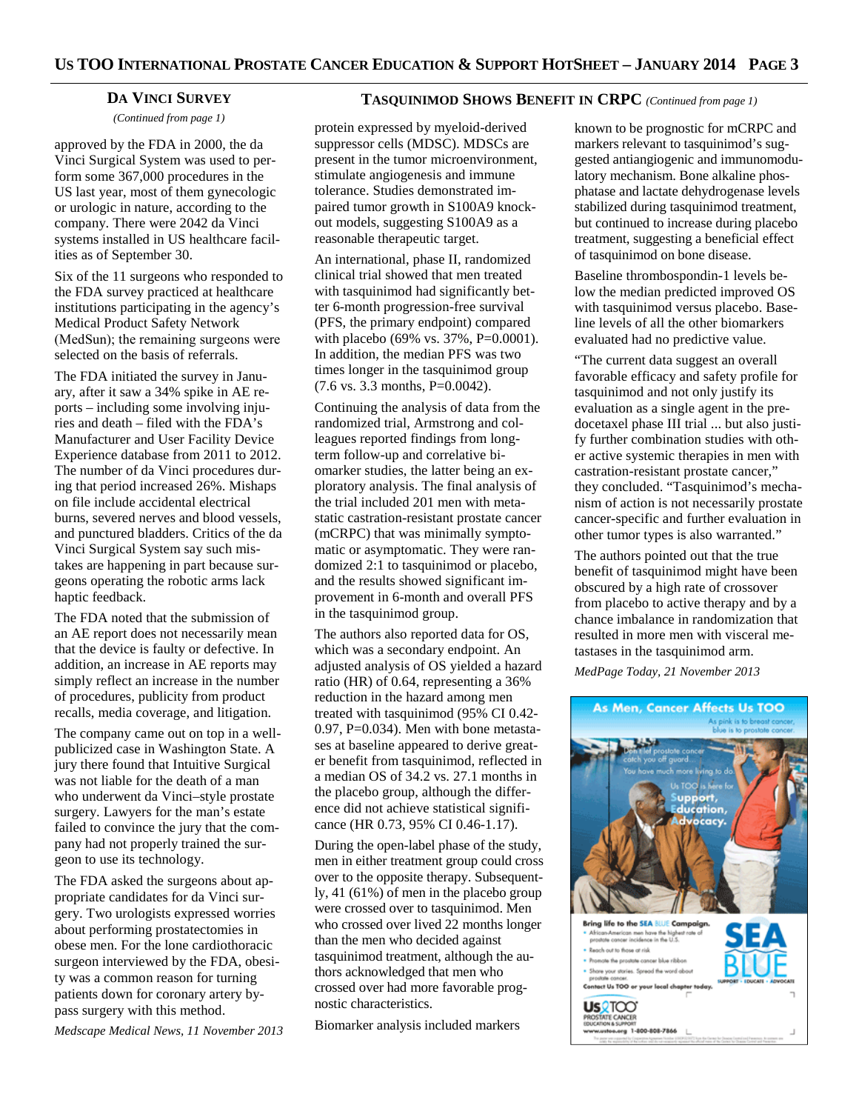## **DA VINCI SURVEY**

*(Continued from page 1)* 

approved by the FDA in 2000, the da Vinci Surgical System was used to perform some 367,000 procedures in the US last year, most of them gynecologic or urologic in nature, according to the company. There were 2042 da Vinci systems installed in US healthcare facilities as of September 30.

Six of the 11 surgeons who responded to the FDA survey practiced at healthcare institutions participating in the agency's Medical Product Safety Network (MedSun); the remaining surgeons were selected on the basis of referrals.

The FDA initiated the survey in January, after it saw a 34% spike in AE reports – including some involving injuries and death – filed with the FDA's Manufacturer and User Facility Device Experience database from 2011 to 2012. The number of da Vinci procedures during that period increased 26%. Mishaps on file include accidental electrical burns, severed nerves and blood vessels, and punctured bladders. Critics of the da Vinci Surgical System say such mistakes are happening in part because surgeons operating the robotic arms lack haptic feedback.

The FDA noted that the submission of an AE report does not necessarily mean that the device is faulty or defective. In addition, an increase in AE reports may simply reflect an increase in the number of procedures, publicity from product recalls, media coverage, and litigation.

The company came out on top in a wellpublicized case in Washington State. A jury there found that Intuitive Surgical was not liable for the death of a man who underwent da Vinci–style prostate surgery. Lawyers for the man's estate failed to convince the jury that the company had not properly trained the surgeon to use its technology.

The FDA asked the surgeons about appropriate candidates for da Vinci surgery. Two urologists expressed worries about performing prostatectomies in obese men. For the lone cardiothoracic surgeon interviewed by the FDA, obesity was a common reason for turning patients down for coronary artery bypass surgery with this method.

*Medscape Medical News, 11 November 2013* 

## **TASQUINIMOD SHOWS BENEFIT IN CRPC** *(Continued from page 1)*

protein expressed by myeloid-derived suppressor cells (MDSC). MDSCs are present in the tumor microenvironment, stimulate angiogenesis and immune tolerance. Studies demonstrated impaired tumor growth in S100A9 knockout models, suggesting S100A9 as a reasonable therapeutic target.

An international, phase II, randomized clinical trial showed that men treated with tasquinimod had significantly better 6-month progression-free survival (PFS, the primary endpoint) compared with placebo (69% vs. 37%, P=0.0001). In addition, the median PFS was two times longer in the tasquinimod group (7.6 vs. 3.3 months, P=0.0042).

Continuing the analysis of data from the randomized trial, Armstrong and colleagues reported findings from longterm follow-up and correlative biomarker studies, the latter being an exploratory analysis. The final analysis of the trial included 201 men with metastatic castration-resistant prostate cancer (mCRPC) that was minimally symptomatic or asymptomatic. They were randomized 2:1 to tasquinimod or placebo, and the results showed significant improvement in 6-month and overall PFS in the tasquinimod group.

The authors also reported data for OS, which was a secondary endpoint. An adjusted analysis of OS yielded a hazard ratio (HR) of 0.64, representing a 36% reduction in the hazard among men treated with tasquinimod (95% CI 0.42-  $0.97$ , P= $0.034$ ). Men with bone metastases at baseline appeared to derive greater benefit from tasquinimod, reflected in a median OS of 34.2 vs. 27.1 months in the placebo group, although the difference did not achieve statistical significance (HR 0.73, 95% CI 0.46-1.17).

During the open-label phase of the study, men in either treatment group could cross over to the opposite therapy. Subsequently, 41 (61%) of men in the placebo group were crossed over to tasquinimod. Men who crossed over lived 22 months longer than the men who decided against tasquinimod treatment, although the authors acknowledged that men who crossed over had more favorable prognostic characteristics.

Biomarker analysis included markers

known to be prognostic for mCRPC and markers relevant to tasquinimod's suggested antiangiogenic and immunomodulatory mechanism. Bone alkaline phosphatase and lactate dehydrogenase levels stabilized during tasquinimod treatment, but continued to increase during placebo treatment, suggesting a beneficial effect of tasquinimod on bone disease.

Baseline thrombospondin-1 levels below the median predicted improved OS with tasquinimod versus placebo. Baseline levels of all the other biomarkers evaluated had no predictive value.

"The current data suggest an overall favorable efficacy and safety profile for tasquinimod and not only justify its evaluation as a single agent in the predocetaxel phase III trial ... but also justify further combination studies with other active systemic therapies in men with castration-resistant prostate cancer," they concluded. "Tasquinimod's mechanism of action is not necessarily prostate cancer-specific and further evaluation in other tumor types is also warranted."

The authors pointed out that the true benefit of tasquinimod might have been obscured by a high rate of crossover from placebo to active therapy and by a chance imbalance in randomization that resulted in more men with visceral metastases in the tasquinimod arm.

*MedPage Today, 21 November 2013* 

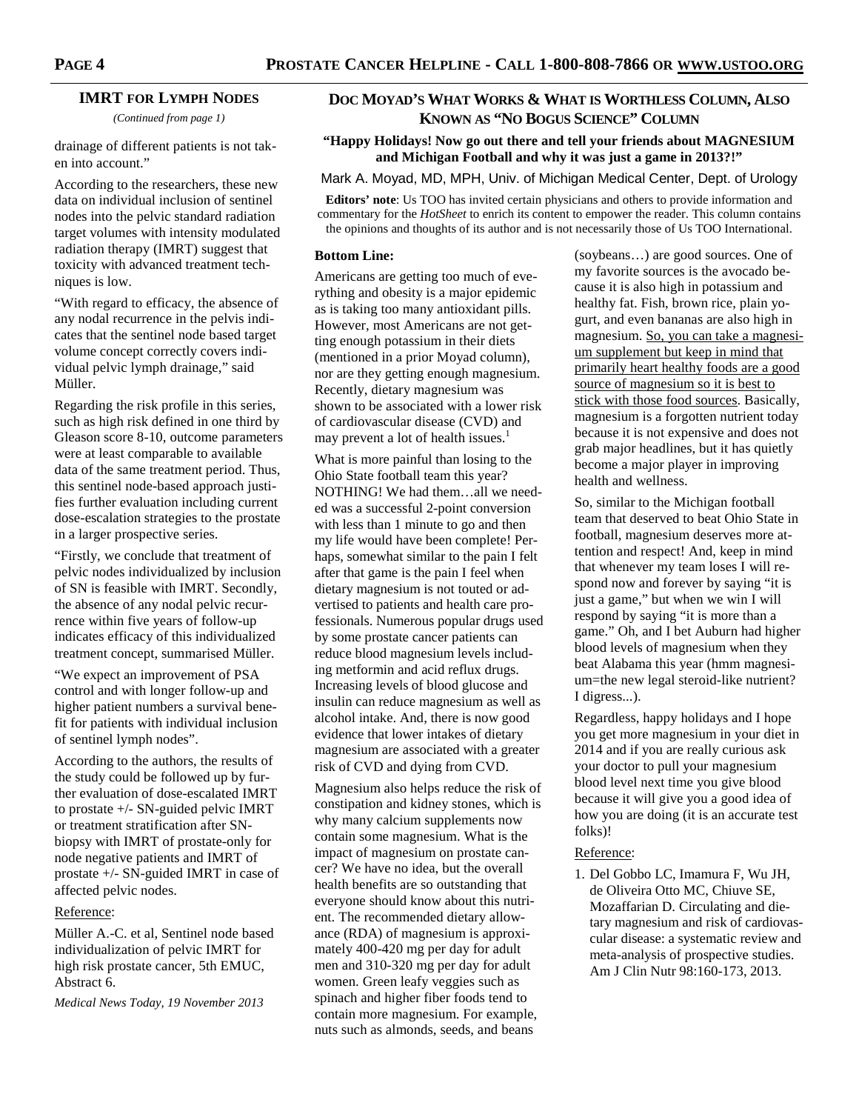## **IMRT FOR LYMPH NODES**

*(Continued from page 1)* 

drainage of different patients is not taken into account."

According to the researchers, these new data on individual inclusion of sentinel nodes into the pelvic standard radiation target volumes with intensity modulated radiation therapy (IMRT) suggest that toxicity with advanced treatment techniques is low.

"With regard to efficacy, the absence of any nodal recurrence in the pelvis indicates that the sentinel node based target volume concept correctly covers individual pelvic lymph drainage," said Müller.

Regarding the risk profile in this series, such as high risk defined in one third by Gleason score 8-10, outcome parameters were at least comparable to available data of the same treatment period. Thus, this sentinel node-based approach justifies further evaluation including current dose-escalation strategies to the prostate in a larger prospective series.

"Firstly, we conclude that treatment of pelvic nodes individualized by inclusion of SN is feasible with IMRT. Secondly, the absence of any nodal pelvic recurrence within five years of follow-up indicates efficacy of this individualized treatment concept, summarised Müller.

"We expect an improvement of PSA control and with longer follow-up and higher patient numbers a survival benefit for patients with individual inclusion of sentinel lymph nodes".

According to the authors, the results of the study could be followed up by further evaluation of dose-escalated IMRT to prostate +/- SN-guided pelvic IMRT or treatment stratification after SNbiopsy with IMRT of prostate-only for node negative patients and IMRT of prostate +/- SN-guided IMRT in case of affected pelvic nodes.

#### Reference:

Müller A.-C. et al, Sentinel node based individualization of pelvic IMRT for high risk prostate cancer, 5th EMUC, Abstract 6.

*Medical News Today, 19 November 2013* 

## **DOC MOYAD'S WHAT WORKS & WHAT IS WORTHLESS COLUMN, ALSO KNOWN AS "NO BOGUS SCIENCE" COLUMN**

## **"Happy Holidays! Now go out there and tell your friends about MAGNESIUM and Michigan Football and why it was just a game in 2013?!"**

Mark A. Moyad, MD, MPH, Univ. of Michigan Medical Center, Dept. of Urology

**Editors' note**: Us TOO has invited certain physicians and others to provide information and commentary for the *HotSheet* to enrich its content to empower the reader. This column contains the opinions and thoughts of its author and is not necessarily those of Us TOO International.

#### **Bottom Line:**

Americans are getting too much of everything and obesity is a major epidemic as is taking too many antioxidant pills. However, most Americans are not getting enough potassium in their diets (mentioned in a prior Moyad column), nor are they getting enough magnesium. Recently, dietary magnesium was shown to be associated with a lower risk of cardiovascular disease (CVD) and may prevent a lot of health issues.<sup>1</sup>

What is more painful than losing to the Ohio State football team this year? NOTHING! We had them…all we needed was a successful 2-point conversion with less than 1 minute to go and then my life would have been complete! Perhaps, somewhat similar to the pain I felt after that game is the pain I feel when dietary magnesium is not touted or advertised to patients and health care professionals. Numerous popular drugs used by some prostate cancer patients can reduce blood magnesium levels including metformin and acid reflux drugs. Increasing levels of blood glucose and insulin can reduce magnesium as well as alcohol intake. And, there is now good evidence that lower intakes of dietary magnesium are associated with a greater risk of CVD and dying from CVD.

Magnesium also helps reduce the risk of constipation and kidney stones, which is why many calcium supplements now contain some magnesium. What is the impact of magnesium on prostate cancer? We have no idea, but the overall health benefits are so outstanding that everyone should know about this nutrient. The recommended dietary allowance (RDA) of magnesium is approximately 400-420 mg per day for adult men and 310-320 mg per day for adult women. Green leafy veggies such as spinach and higher fiber foods tend to contain more magnesium. For example, nuts such as almonds, seeds, and beans

(soybeans…) are good sources. One of my favorite sources is the avocado because it is also high in potassium and healthy fat. Fish, brown rice, plain yogurt, and even bananas are also high in magnesium. So, you can take a magnesium supplement but keep in mind that primarily heart healthy foods are a good source of magnesium so it is best to stick with those food sources. Basically, magnesium is a forgotten nutrient today because it is not expensive and does not grab major headlines, but it has quietly become a major player in improving health and wellness.

So, similar to the Michigan football team that deserved to beat Ohio State in football, magnesium deserves more attention and respect! And, keep in mind that whenever my team loses I will respond now and forever by saying "it is just a game," but when we win I will respond by saying "it is more than a game." Oh, and I bet Auburn had higher blood levels of magnesium when they beat Alabama this year (hmm magnesium=the new legal steroid-like nutrient? I digress...).

Regardless, happy holidays and I hope you get more magnesium in your diet in 2014 and if you are really curious ask your doctor to pull your magnesium blood level next time you give blood because it will give you a good idea of how you are doing (it is an accurate test folks)!

#### Reference:

1. Del Gobbo LC, Imamura F, Wu JH, de Oliveira Otto MC, Chiuve SE, Mozaffarian D. Circulating and dietary magnesium and risk of cardiovascular disease: a systematic review and meta-analysis of prospective studies. Am J Clin Nutr 98:160-173, 2013.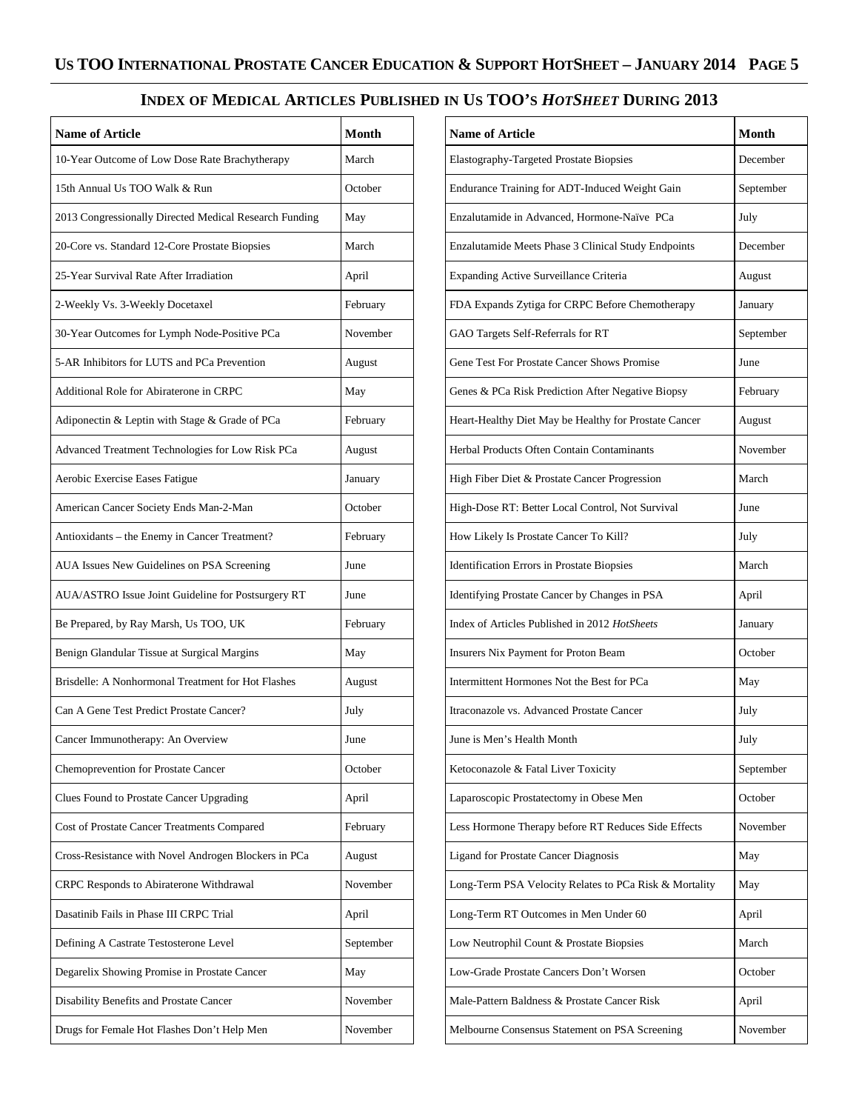# **INDEX OF MEDICAL ARTICLES PUBLISHED IN US TOO'S** *HOTSHEET* **DURING 2013**

| <b>Name of Article</b>                                 | <b>Month</b> |
|--------------------------------------------------------|--------------|
| 10-Year Outcome of Low Dose Rate Brachytherapy         | March        |
| 15th Annual Us TOO Walk & Run                          | October      |
| 2013 Congressionally Directed Medical Research Funding | May          |
| 20-Core vs. Standard 12-Core Prostate Biopsies         | March        |
| 25-Year Survival Rate After Irradiation                | April        |
| 2-Weekly Vs. 3-Weekly Docetaxel                        | February     |
| 30-Year Outcomes for Lymph Node-Positive PCa           | November     |
| 5-AR Inhibitors for LUTS and PCa Prevention            | August       |
| Additional Role for Abiraterone in CRPC                | May          |
| Adiponectin & Leptin with Stage & Grade of PCa         | February     |
| Advanced Treatment Technologies for Low Risk PCa       | August       |
| Aerobic Exercise Eases Fatigue                         | January      |
| American Cancer Society Ends Man-2-Man                 | October      |
| Antioxidants - the Enemy in Cancer Treatment?          | February     |
| AUA Issues New Guidelines on PSA Screening             | June         |
| AUA/ASTRO Issue Joint Guideline for Postsurgery RT     | June         |
| Be Prepared, by Ray Marsh, Us TOO, UK                  | February     |
| Benign Glandular Tissue at Surgical Margins            | May          |
| Brisdelle: A Nonhormonal Treatment for Hot Flashes     | August       |
| Can A Gene Test Predict Prostate Cancer?               | July         |
| Cancer Immunotherapy: An Overview                      | June         |
| Chemoprevention for Prostate Cancer                    | October      |
| Clues Found to Prostate Cancer Upgrading               | April        |
| Cost of Prostate Cancer Treatments Compared            | February     |
| Cross-Resistance with Novel Androgen Blockers in PCa   | August       |
| CRPC Responds to Abiraterone Withdrawal                | November     |
| Dasatinib Fails in Phase III CRPC Trial                | April        |
| Defining A Castrate Testosterone Level                 | September    |
| Degarelix Showing Promise in Prostate Cancer           | May          |
| Disability Benefits and Prostate Cancer                | November     |
| Drugs for Female Hot Flashes Don't Help Men            | November     |

| <b>Name of Article</b>                                 | <b>Month</b> |
|--------------------------------------------------------|--------------|
| Elastography-Targeted Prostate Biopsies                | December     |
| Endurance Training for ADT-Induced Weight Gain         | September    |
| Enzalutamide in Advanced, Hormone-Naïve PCa            | July         |
| Enzalutamide Meets Phase 3 Clinical Study Endpoints    | December     |
| Expanding Active Surveillance Criteria                 | August       |
| FDA Expands Zytiga for CRPC Before Chemotherapy        | January      |
| GAO Targets Self-Referrals for RT                      | September    |
| Gene Test For Prostate Cancer Shows Promise            | June         |
| Genes & PCa Risk Prediction After Negative Biopsy      | February     |
| Heart-Healthy Diet May be Healthy for Prostate Cancer  | August       |
| Herbal Products Often Contain Contaminants             | November     |
| High Fiber Diet & Prostate Cancer Progression          | March        |
| High-Dose RT: Better Local Control, Not Survival       | June         |
| How Likely Is Prostate Cancer To Kill?                 | July         |
| Identification Errors in Prostate Biopsies             | March        |
| Identifying Prostate Cancer by Changes in PSA          | April        |
| Index of Articles Published in 2012 HotSheets          | January      |
| Insurers Nix Payment for Proton Beam                   | October      |
| Intermittent Hormones Not the Best for PCa             | May          |
| Itraconazole vs. Advanced Prostate Cancer              | July         |
| June is Men's Health Month                             | July         |
| Ketoconazole & Fatal Liver Toxicity                    | September    |
| Laparoscopic Prostatectomy in Obese Men                | October      |
| Less Hormone Therapy before RT Reduces Side Effects    | November     |
| Ligand for Prostate Cancer Diagnosis                   | May          |
| Long-Term PSA Velocity Relates to PCa Risk & Mortality | May          |
| Long-Term RT Outcomes in Men Under 60                  | April        |
| Low Neutrophil Count & Prostate Biopsies               | March        |
| Low-Grade Prostate Cancers Don't Worsen                | October      |
| Male-Pattern Baldness & Prostate Cancer Risk           | April        |
| Melbourne Consensus Statement on PSA Screening         | November     |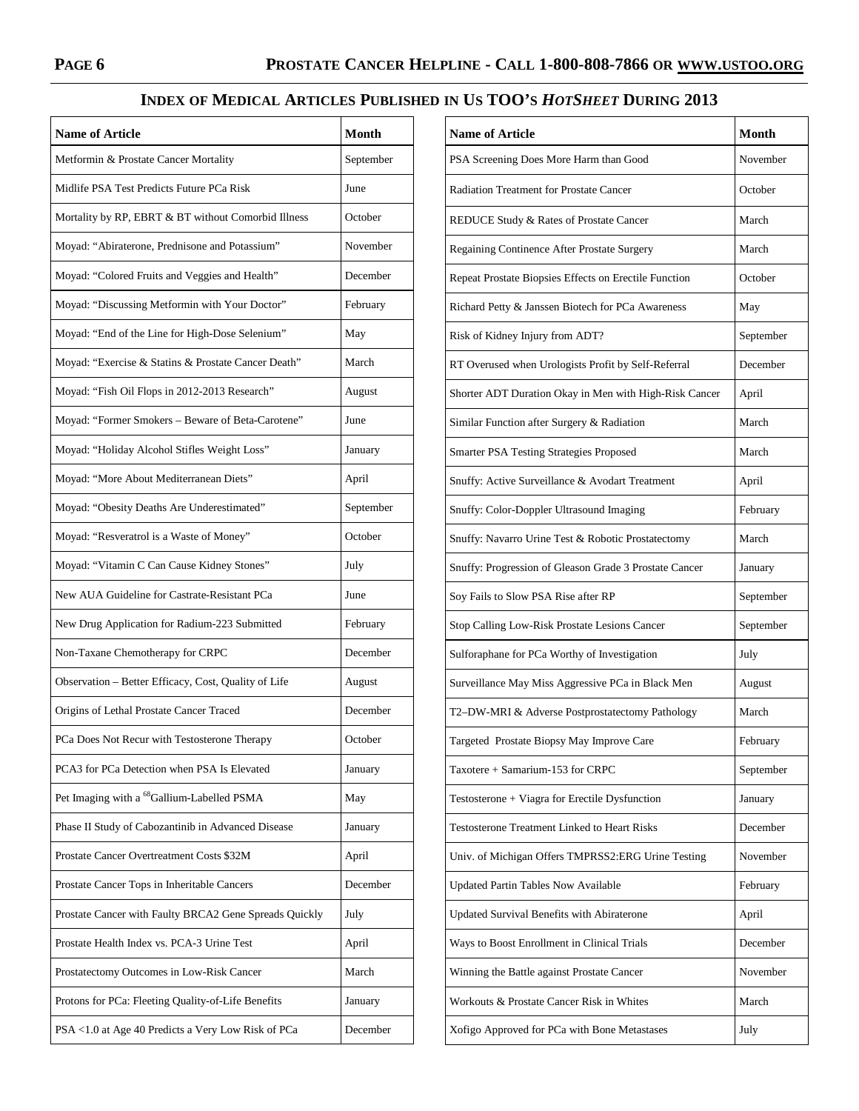# **INDEX OF MEDICAL ARTICLES PUBLISHED IN US TOO'S** *HOTSHEET* **DURING 2013**

| <b>Name of Article</b>                                 | <b>Month</b> |
|--------------------------------------------------------|--------------|
| Metformin & Prostate Cancer Mortality                  | September    |
| Midlife PSA Test Predicts Future PCa Risk              | June         |
| Mortality by RP, EBRT & BT without Comorbid Illness    | October      |
| Moyad: "Abiraterone, Prednisone and Potassium"         | November     |
| Moyad: "Colored Fruits and Veggies and Health"         | December     |
| Moyad: "Discussing Metformin with Your Doctor"         | February     |
| Moyad: "End of the Line for High-Dose Selenium"        | May          |
| Moyad: "Exercise & Statins & Prostate Cancer Death"    | March        |
| Moyad: "Fish Oil Flops in 2012-2013 Research"          | August       |
| Moyad: "Former Smokers - Beware of Beta-Carotene"      | June         |
| Moyad: "Holiday Alcohol Stifles Weight Loss"           | January      |
| Moyad: "More About Mediterranean Diets"                | April        |
| Moyad: "Obesity Deaths Are Underestimated"             | September    |
| Moyad: "Resveratrol is a Waste of Money"               | October      |
| Moyad: "Vitamin C Can Cause Kidney Stones"             | July         |
| New AUA Guideline for Castrate-Resistant PCa           | June         |
| New Drug Application for Radium-223 Submitted          | February     |
| Non-Taxane Chemotherapy for CRPC                       | December     |
| Observation - Better Efficacy, Cost, Quality of Life   | August       |
| Origins of Lethal Prostate Cancer Traced               | December     |
| PCa Does Not Recur with Testosterone Therapy           | October      |
| PCA3 for PCa Detection when PSA Is Elevated            | January      |
| Pet Imaging with a <sup>68</sup> Gallium-Labelled PSMA | May          |
| Phase II Study of Cabozantinib in Advanced Disease     | January      |
| Prostate Cancer Overtreatment Costs \$32M              | April        |
| Prostate Cancer Tops in Inheritable Cancers            | December     |
| Prostate Cancer with Faulty BRCA2 Gene Spreads Quickly | July         |
| Prostate Health Index vs. PCA-3 Urine Test             | April        |
| Prostatectomy Outcomes in Low-Risk Cancer              | March        |
| Protons for PCa: Fleeting Quality-of-Life Benefits     | January      |
| PSA <1.0 at Age 40 Predicts a Very Low Risk of PCa     | December     |

| <b>Name of Article</b>                                 | Month     |
|--------------------------------------------------------|-----------|
| PSA Screening Does More Harm than Good                 | November  |
| <b>Radiation Treatment for Prostate Cancer</b>         | October   |
| REDUCE Study & Rates of Prostate Cancer                | March     |
| Regaining Continence After Prostate Surgery            | March     |
| Repeat Prostate Biopsies Effects on Erectile Function  | October   |
| Richard Petty & Janssen Biotech for PCa Awareness      | May       |
| Risk of Kidney Injury from ADT?                        | September |
| RT Overused when Urologists Profit by Self-Referral    | December  |
| Shorter ADT Duration Okay in Men with High-Risk Cancer | April     |
| Similar Function after Surgery & Radiation             | March     |
| Smarter PSA Testing Strategies Proposed                | March     |
| Snuffy: Active Surveillance & Avodart Treatment        | April     |
| Snuffy: Color-Doppler Ultrasound Imaging               | February  |
| Snuffy: Navarro Urine Test & Robotic Prostatectomy     | March     |
| Snuffy: Progression of Gleason Grade 3 Prostate Cancer | January   |
| Soy Fails to Slow PSA Rise after RP                    | September |
| Stop Calling Low-Risk Prostate Lesions Cancer          | September |
| Sulforaphane for PCa Worthy of Investigation           | July      |
| Surveillance May Miss Aggressive PCa in Black Men      | August    |
| T2-DW-MRI & Adverse Postprostatectomy Pathology        | March     |
| Targeted Prostate Biopsy May Improve Care              | February  |
| Taxotere + Samarium-153 for CRPC                       | September |
| Testosterone + Viagra for Erectile Dysfunction         | January   |
| <b>Testosterone Treatment Linked to Heart Risks</b>    | December  |
| Univ. of Michigan Offers TMPRSS2:ERG Urine Testing     | November  |
| Updated Partin Tables Now Available                    | February  |
| Updated Survival Benefits with Abiraterone             | April     |
| Ways to Boost Enrollment in Clinical Trials            | December  |
| Winning the Battle against Prostate Cancer             | November  |
| Workouts & Prostate Cancer Risk in Whites              | March     |
| Xofigo Approved for PCa with Bone Metastases           | July      |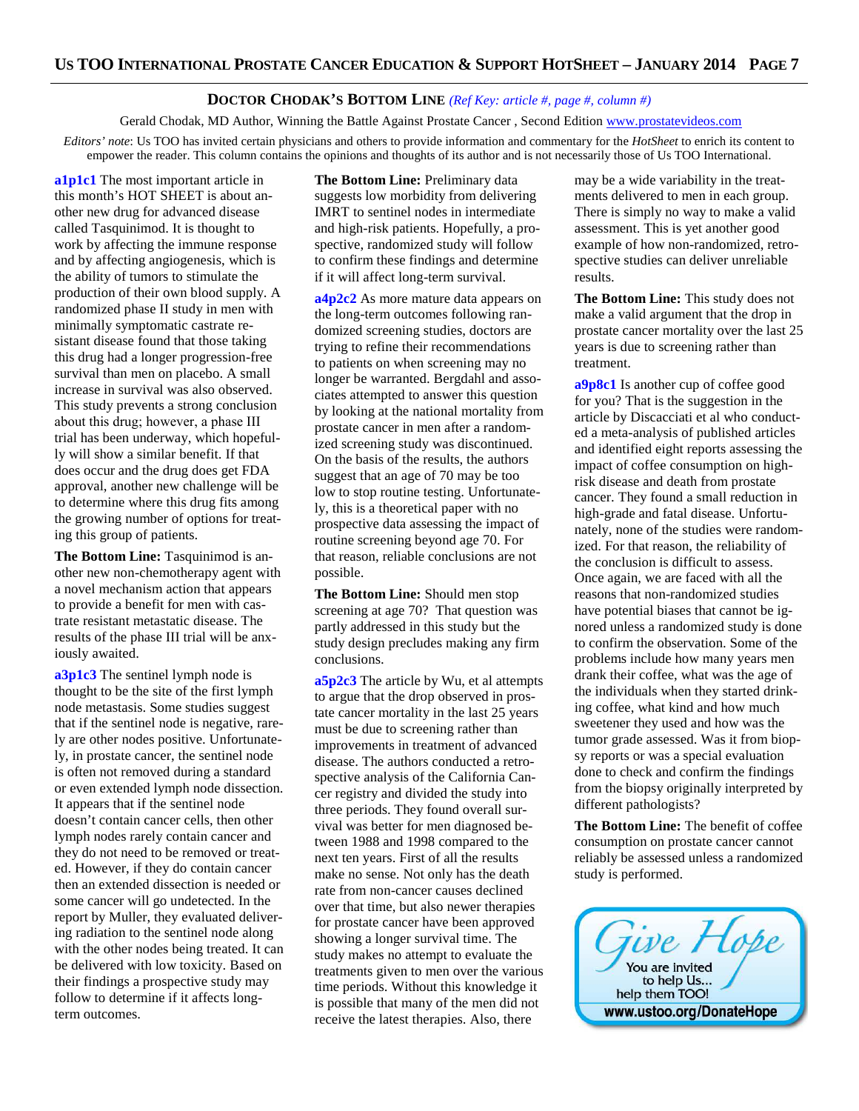## **DOCTOR CHODAK'S BOTTOM LINE** *(Ref Key: article #, page #, column #)*

Gerald Chodak, MD Author, Winning the Battle Against Prostate Cancer, Second Edition www.prostatevideos.com

*Editors' note*: Us TOO has invited certain physicians and others to provide information and commentary for the *HotSheet* to enrich its content to empower the reader. This column contains the opinions and thoughts of its author and is not necessarily those of Us TOO International.

**a1p1c1** The most important article in this month's HOT SHEET is about another new drug for advanced disease called Tasquinimod. It is thought to work by affecting the immune response and by affecting angiogenesis, which is the ability of tumors to stimulate the production of their own blood supply. A randomized phase II study in men with minimally symptomatic castrate resistant disease found that those taking this drug had a longer progression-free survival than men on placebo. A small increase in survival was also observed. This study prevents a strong conclusion about this drug; however, a phase III trial has been underway, which hopefully will show a similar benefit. If that does occur and the drug does get FDA approval, another new challenge will be to determine where this drug fits among the growing number of options for treating this group of patients.

**The Bottom Line:** Tasquinimod is another new non-chemotherapy agent with a novel mechanism action that appears to provide a benefit for men with castrate resistant metastatic disease. The results of the phase III trial will be anxiously awaited.

**a3p1c3** The sentinel lymph node is thought to be the site of the first lymph node metastasis. Some studies suggest that if the sentinel node is negative, rarely are other nodes positive. Unfortunately, in prostate cancer, the sentinel node is often not removed during a standard or even extended lymph node dissection. It appears that if the sentinel node doesn't contain cancer cells, then other lymph nodes rarely contain cancer and they do not need to be removed or treated. However, if they do contain cancer then an extended dissection is needed or some cancer will go undetected. In the report by Muller, they evaluated delivering radiation to the sentinel node along with the other nodes being treated. It can be delivered with low toxicity. Based on their findings a prospective study may follow to determine if it affects longterm outcomes.

**The Bottom Line:** Preliminary data suggests low morbidity from delivering IMRT to sentinel nodes in intermediate and high-risk patients. Hopefully, a prospective, randomized study will follow to confirm these findings and determine if it will affect long-term survival.

**a4p2c2** As more mature data appears on the long-term outcomes following randomized screening studies, doctors are trying to refine their recommendations to patients on when screening may no longer be warranted. Bergdahl and associates attempted to answer this question by looking at the national mortality from prostate cancer in men after a randomized screening study was discontinued. On the basis of the results, the authors suggest that an age of 70 may be too low to stop routine testing. Unfortunately, this is a theoretical paper with no prospective data assessing the impact of routine screening beyond age 70. For that reason, reliable conclusions are not possible.

**The Bottom Line:** Should men stop screening at age 70? That question was partly addressed in this study but the study design precludes making any firm conclusions.

**a5p2c3** The article by Wu, et al attempts to argue that the drop observed in prostate cancer mortality in the last 25 years must be due to screening rather than improvements in treatment of advanced disease. The authors conducted a retrospective analysis of the California Cancer registry and divided the study into three periods. They found overall survival was better for men diagnosed between 1988 and 1998 compared to the next ten years. First of all the results make no sense. Not only has the death rate from non-cancer causes declined over that time, but also newer therapies for prostate cancer have been approved showing a longer survival time. The study makes no attempt to evaluate the treatments given to men over the various time periods. Without this knowledge it is possible that many of the men did not receive the latest therapies. Also, there

may be a wide variability in the treatments delivered to men in each group. There is simply no way to make a valid assessment. This is yet another good example of how non-randomized, retrospective studies can deliver unreliable results.

**The Bottom Line:** This study does not make a valid argument that the drop in prostate cancer mortality over the last 25 years is due to screening rather than treatment.

**a9p8c1** Is another cup of coffee good for you? That is the suggestion in the article by Discacciati et al who conducted a meta-analysis of published articles and identified eight reports assessing the impact of coffee consumption on highrisk disease and death from prostate cancer. They found a small reduction in high-grade and fatal disease. Unfortunately, none of the studies were randomized. For that reason, the reliability of the conclusion is difficult to assess. Once again, we are faced with all the reasons that non-randomized studies have potential biases that cannot be ignored unless a randomized study is done to confirm the observation. Some of the problems include how many years men drank their coffee, what was the age of the individuals when they started drinking coffee, what kind and how much sweetener they used and how was the tumor grade assessed. Was it from biopsy reports or was a special evaluation done to check and confirm the findings from the biopsy originally interpreted by different pathologists?

**The Bottom Line:** The benefit of coffee consumption on prostate cancer cannot reliably be assessed unless a randomized study is performed.